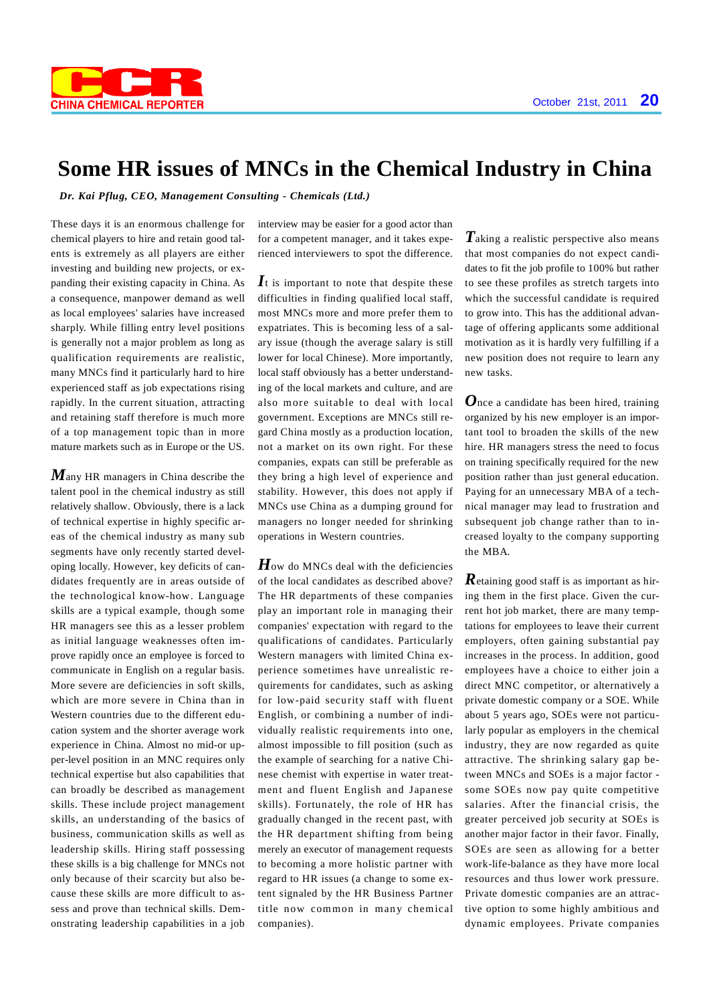

## **Some HR issues of MNCs in the Chemical Industry in China**

*Dr. Kai Pflug, CEO, Management Consulting - Chemicals (Ltd.)*

These days it is an enormous challenge for chemical players to hire and retain good talents is extremely as all players are either investing and building new projects, or expanding their existing capacity in China. As a consequence, manpower demand as well as local employees' salaries have increased sharply. While filling entry level positions is generally not a major problem as long as qualification requirements are realistic, many MNCs find it particularly hard to hire experienced staff as job expectations rising rapidly. In the current situation, attracting and retaining staff therefore is much more of a top management topic than in more mature markets such as in Europe or the US.

*M*any HR managers in China describe the talent pool in the chemical industry as still relatively shallow. Obviously, there is a lack of technical expertise in highly specific areas of the chemical industry as many sub segments have only recently started developing locally. However, key deficits of candidates frequently are in areas outside of the technological know-how. Language skills are a typical example, though some HR managers see this as a lesser problem as initial language weaknesses often improve rapidly once an employee is forced to communicate in English on a regular basis. More severe are deficiencies in soft skills, which are more severe in China than in Western countries due to the different education system and the shorter average work experience in China. Almost no mid-or upper-level position in an MNC requires only technical expertise but also capabilities that can broadly be described as management skills. These include project management skills, an understanding of the basics of business, communication skills as well as leadership skills. Hiring staff possessing these skills is a big challenge for MNCs not only because of their scarcity but also because these skills are more difficult to assess and prove than technical skills. Demonstrating leadership capabilities in a job interview may be easier for a good actor than for a competent manager, and it takes experienced interviewers to spot the difference.

*I*<sup>t</sup> is important to note that despite these difficulties in finding qualified local staff, most MNCs more and more prefer them to expatriates. This is becoming less of a salary issue (though the average salary is still lower for local Chinese). More importantly, local staff obviously has a better understanding of the local markets and culture, and are also more suitable to deal with local government. Exceptions are MNCs still regard China mostly as a production location, not a market on its own right. For these companies, expats can still be preferable as they bring a high level of experience and stability. However, this does not apply if MNCs use China as a dumping ground for managers no longer needed for shrinking operations in Western countries.

**H**ow do MNCs deal with the deficiencies of the local candidates as described above? The HR departments of these companies play an important role in managing their companies' expectation with regard to the qualifications of candidates. Particularly Western managers with limited China experience sometimes have unrealistic requirements for candidates, such as asking for low-paid security staff with fluent English, or combining a number of individually realistic requirements into one, almost impossible to fill position (such as the example of searching for a native Chinese chemist with expertise in water treatment and fluent English and Japanese skills). Fortunately, the role of HR has gradually changed in the recent past, with the HR department shifting from being merely an executor of management requests to becoming a more holistic partner with regard to HR issues (a change to some extent signaled by the HR Business Partner title now common in many chemical companies).

**T**aking a realistic perspective also means that most companies do not expect candidates to fit the job profile to 100% but rather to see these profiles as stretch targets into which the successful candidate is required to grow into. This has the additional advantage of offering applicants some additional motivation as it is hardly very fulfilling if a new position does not require to learn any new tasks.

*O*nce a candidate has been hired, training organized by his new employer is an important tool to broaden the skills of the new hire. HR managers stress the need to focus on training specifically required for the new position rather than just general education. Paying for an unnecessary MBA of a technical manager may lead to frustration and subsequent job change rather than to increased loyalty to the company supporting the MBA.

*R*etaining good staff is as important as hiring them in the first place. Given the current hot job market, there are many temptations for employees to leave their current employers, often gaining substantial pay increases in the process. In addition, good employees have a choice to either join a direct MNC competitor, or alternatively a private domestic company or a SOE. While about 5 years ago, SOEs were not particularly popular as employers in the chemical industry, they are now regarded as quite attractive. The shrinking salary gap between MNCs and SOEs is a major factor some SOEs now pay quite competitive salaries. After the financial crisis, the greater perceived job security at SOEs is another major factor in their favor. Finally, SOEs are seen as allowing for a better work-life-balance as they have more local resources and thus lower work pressure. Private domestic companies are an attractive option to some highly ambitious and dynamic employees. Private companies